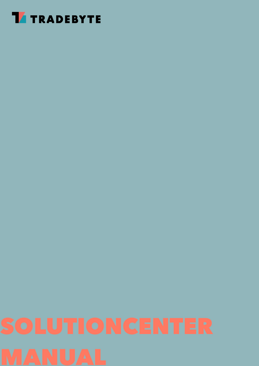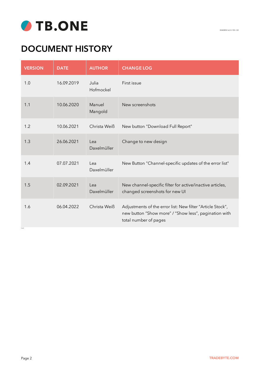

# **DOCUMENT HISTORY**

| <b>VERSION</b> | <b>DATE</b> | <b>AUTHOR</b>      | <b>CHANGE LOG</b>                                                                                                                            |
|----------------|-------------|--------------------|----------------------------------------------------------------------------------------------------------------------------------------------|
| 1.0            | 16.09.2019  | Julia<br>Hofmockel | First issue                                                                                                                                  |
| 1.1            | 10.06.2020  | Manuel<br>Mangold  | New screenshots                                                                                                                              |
| 1.2            | 10.06.2021  | Christa Weiß       | New button "Download Full Report"                                                                                                            |
| 1.3            | 26.06.2021  | Lea<br>Daxelmüller | Change to new design                                                                                                                         |
| 1.4            | 07.07.2021  | Lea<br>Daxelmüller | New Button "Channel-specific updates of the error list"                                                                                      |
| 1.5            | 02.09.2021  | Lea<br>Daxelmüller | New channel-specific filter for active/inactive articles,<br>changed screenshots for new UI                                                  |
| 1.6<br>1.6.0   | 06.04.2022  | Christa Weiß       | Adjustments of the error list: New filter "Article Stock",<br>new button "Show more" / "Show less", pagination with<br>total number of pages |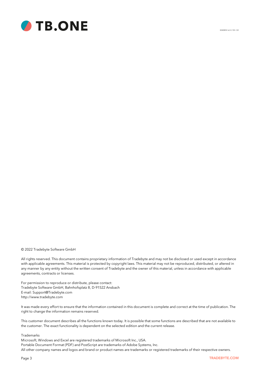

3040EN1.6.0 // 05 / 22

#### © 2022 Tradebyte Software GmbH

All rights reserved. This document contains proprietary information of Tradebyte and may not be disclosed or used except in accordance with applicable agreements. This material is protected by copyright laws. This material may not be reproduced, distributed, or altered in any manner by any entity without the written consent of Tradebyte and the owner of this material, unless in accordance with applicable agreements, contracts or licenses.

For permission to reproduce or distribute, please contact: Tradebyte Software GmbH, Bahnhofsplatz 8, D-91522 Ansbach E-mail: Support@Tradebyte.com http://www.tradebyte.com

It was made every effort to ensure that the information contained in this document is complete and correct at the time of publication. The right to change the information remains reserved.

This customer document describes all the functions known today. It is possible that some functions are described that are not available to the customer. The exact functionality is dependent on the selected edition and the current release.

Trademarks

Microsoft, Windows and Excel are registered trademarks of Microsoft Inc., USA. Portable Document Format (PDF) and PostScript are trademarks of Adobe Systems, Inc. All other company names and logos and brand or product names are trademarks or registered trademarks of their respective owners.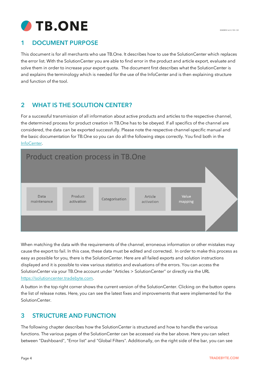

### **1 DOCUMENT PURPOSE**

This document is for all merchants who use TB.One. It describes how to use the SolutionCenter which replaces the error list. With the SolutionCenter you are able to find error in the product and article export, evaluate and solve them in order to increase your export quota. The document first describes what the SolutionCenter is and explains the terminology which is needed for the use of the InfoCenter and is then explaining structure and function of the tool.

## **2 WHAT IS THE SOLUTION CENTER?**

For a successful transmission of all information about active products and articles to the respective channel, the determined process for product creation in TB.One has to be obeyed. If all specifics of the channel are considered, the data can be exported successfully. Please note the respective channel-specific manual and the basic documentation for TB.One so you can do all the following steps correctly. You find both in the [InfoCenter](https://infocenter.tradebyte.com/en/).



When matching the data with the requirements of the channel, erroneous information or other mistakes may cause the export to fail. In this case, these data must be edited and corrected. In order to make this process as easy as possible for you, there is the SolutionCenter. Here are all failed exports and solution instructions displayed and it is possible to view various statistics and evaluations of the errors. You can access the SolutionCenter via your TB.One account under "Articles > SolutionCenter" or directly via the URL [https://solutioncenter.tradebyte.com.](https://solutioncenter.tradebyte.com)

A button in the top right corner shows the current version of the SolutionCenter. Clicking on the button opens the list of release notes. Here, you can see the latest fixes and improvements that were implemented for the SolutionCenter.

### **3 STRUCTURE AND FUNCTION**

The following chapter describes how the SolutionCenter is structured and how to handle the various functions. The various pages of the SolutionCenter can be accessed via the bar above. Here you can select between "Dashboard", "Error list" and "Global Filters". Additionally, on the right side of the bar, you can see

3040EN1.6.0 // 05 / 22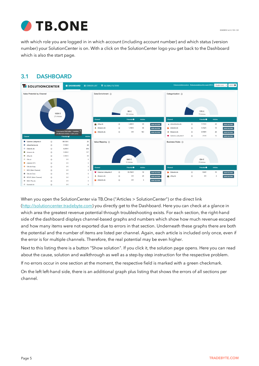

with which role you are logged in in which account (including account number) and which status (version number) your SolutionCenter is on. With a click on the SolutionCenter logo you get back to the Dashboard which is also the start page.

### **3.1 DASHBOARD**



When you open the SolutionCenter via TB.One ("Articles > SolutionCenter") or the direct link (<http://solutioncenter.tradebyte.com>) you directly get to the Dashboard. Here you can check at a glance in which area the greatest revenue potential through troubleshooting exists. For each section, the right-hand side of the dashboard displays channel-based graphs and numbers which show how much revenue escaped and how many items were not exported due to errors in that section. Underneath these graphs there are both the potential and the number of items are listed per channel. Again, each article is included only once, even if the error is for multiple channels. Therefore, the real potential may be even higher.

Next to this listing there is a button "Show solution". If you click it, the solution page opens. Here you can read about the cause, solution and walkthrough as well as a step-by-step instruction for the respective problem.

If no errors occur in one section at the moment, the respective field is marked with a green checkmark.

On the left left-hand side, there is an additional graph plus listing that shows the errors of all sections per channel.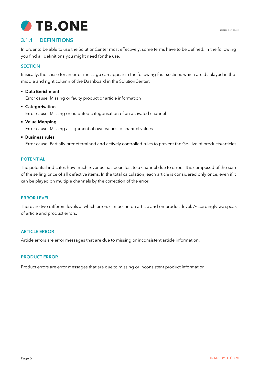

### **3.1.1 DEFINITIONS**

In order to be able to use the SolutionCenter most effectively, some terms have to be defined. In the following you find all definitions you might need for the use.

### **SECTION**

Basically, the cause for an error message can appear in the following four sections which are displayed in the middle and right column of the Dashboard in the SolutionCenter:

- **Data Enrichment** Error cause: Missing or faulty product or article information
- **Categorisation** Error cause: Missing or outdated categorisation of an activated channel
- **Value Mapping** Error cause: Missing assignment of own values to channel values
- **Business rules**

Error cause: Partially predetermined and actively controlled rules to prevent the Go-Live of products/articles

#### **POTENTIAL**

The potential indicates how much revenue has been lost to a channel due to errors. It is composed of the sum of the selling price of all defective items. In the total calculation, each article is considered only once, even if it can be played on multiple channels by the correction of the error.

#### **ERROR LEVEL**

There are two different levels at which errors can occur: on article and on product level. Accordingly we speak of article and product errors.

#### **ARTICLE ERROR**

Article errors are error messages that are due to missing or inconsistent article information.

#### **PRODUCT ERROR**

Product errors are error messages that are due to missing or inconsistent product information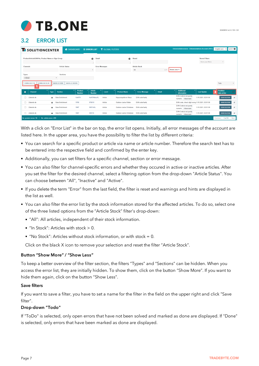

### **3.2 ERROR LIST**

| <b>T</b> SOLUTIONCENTER                                                         | <b>C</b> DASHBOARD                           | $\equiv$ ERROR LIST                   | <b>T</b> GLOBAL FILTERS      |                                        | <b>Dokumentationsnutzer - Dokumentations Account (9951)</b>        | V <sub>2.9.1</sub> <b>0</b><br>English (en)<br>$\vee$ |
|---------------------------------------------------------------------------------|----------------------------------------------|---------------------------------------|------------------------------|----------------------------------------|--------------------------------------------------------------------|-------------------------------------------------------|
| Product/Article/EAN No, Product Name or Sign Group                              |                                              | <b>Detail</b><br>$\bullet$            | $\bullet$                    | <b>Brand</b>                           | <b>Stored Filters</b><br>Store your filters                        | $\mathbf{v}$                                          |
| Channels                                                                        | <b>Article Status</b>                        | <b>Error Messages</b><br>$\mathbf{v}$ |                              | <b>Article Stock</b><br>All<br>$x - 1$ | Show Less $\sim$                                                   |                                                       |
| Types<br>$\times$ Error<br>$\times$                                             | Sections                                     |                                       |                              |                                        |                                                                    |                                                       |
| <b>DOWNLOAD XLSX</b><br><b>DOWNLOAD CSV</b>                                     | <b>MARK AS HIDDEN</b><br><b>MARK AS DONE</b> |                                       |                              |                                        |                                                                    | Todo<br>$\overline{\phantom{a}}$                      |
| Channel<br>Type<br>п                                                            | Product<br><b>Section</b><br><b>Number</b>   | Article<br>Level<br><b>Number</b>     | <b>Product Name</b>          | <b>Error Message</b><br><b>Detail</b>  | <b>Additional</b><br><b>Last Update</b><br>Information             | Realtime<br>ø<br>2<br>data active                     |
| o<br>Zalando.de                                                                 | KaKI74<br>A Data Enrichment                  | KaKI74blauXL<br>Article               | <b>Kapuzenpullover Klaus</b> | EAN code faulty                        | EAN-Code is not purely<br>9.10.2021.02:01:06<br>numeric +Show more | ø<br>SHOW SOLUTION                                    |
| Ω<br>Zalando.de                                                                 | A Data Enrichment<br>9768                    | 976810<br>Article                     | Outdoor-Jacke Walter         | <b>EAN</b> code faulty                 | EAN code, check digit wrong 9.10.2021, 02:01:06                    | $\mathbf{z}$<br><b>SHOW SOLUTION</b>                  |
| n<br>Zalando.de                                                                 | 5987<br>A Data Enrichment                    | 5987r4XL<br>Article                   | Outdoor-Jacke Christiane     | <b>EAN</b> code faulty                 | EAN-Code is not purely<br>9.10.2021.02:01:06<br>numeric +Show more | ಡ<br><b>SHOW SOLUTION</b>                             |
| Zalando.de<br>n.                                                                | 5987<br>A Data Enrichment                    | 5987rS<br>Article                     | Outdoor-Jacke Christiane     | <b>EAN</b> code faulty                 | EAN-Code is not purely<br>9.10.2021.02:01:06<br>numeric +Show more | <b>SHOW SOLUTION</b><br>ø                             |
| No. product errors: 16 / No. article errors: 470<br>1 of 10<br>Next<br>Previous |                                              |                                       |                              |                                        |                                                                    |                                                       |

With a click on "Error List" in the bar on top, the error list opens. Initially, all error messages of the account are listed here. In the upper area, you have the possibility to filter the list by different criteria:

- You can search for a specific product or article via name or article number. Therefore the search text has to be entered into the respective field and confirmed by the enter key.
- Additionally, you can set filters for a specific channel, section or error message.
- You can also filter for channel-specific errors and whether they occured in active or inactive articles. After you set the filter for the desired channel, select a filtering option from the drop-down "Article Status". You can choose between "All", "Inactive" and "Active".
- If you delete the term "Error" from the last field, the filter is reset and warnings and hints are displayed in the list as well.
- You can also filter the error list by the stock information stored for the affected articles. To do so, select one of the three listed options from the "Article Stock" filter's drop-down:
	- "All": All articles, independent of their stock information.
	- "In Stock": Articles with stock > 0.
	- "No Stock": Articles without stock information, or with stock = 0.

Click on the black X icon to remove your selection and reset the filter "Article Stock".

#### **Button "Show More" / "Show Less"**

To keep a better overview of the filter section, the filters "Types" and "Sections" can be hidden. When you access the error list, they are initially hidden. To show them, click on the button "Show More". If you want to hide them again, click on the button "Show Less".

#### **Save filters**

If you want to save a filter, you have to set a name for the filter in the field on the upper right and click "Save filter".

#### **Drop-down "Todo"**

If "ToDo" is selected, only open errors that have not been solved and marked as done are displayed. If "Done" is selected, only errors that have been marked as done are displayed.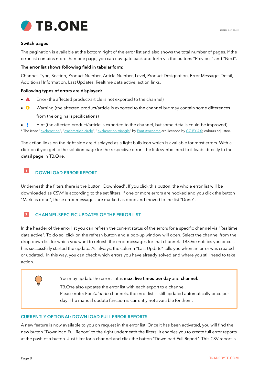

#### **Switch pages**

The pagination is available at the bottom right of the error list and also shows the total number of pages. If the error list contains more than one page, you can navigate back and forth via the buttons "Previous" and "Next".

#### **The error list shows following field in tabular form:**

Channel, Type, Section, Product Number, Article Number, Level, Product Designation, Error Message, Detail, Additional Information, Last Updates, Realtime data active, action links.

#### **Following types of errors are displayed:**

- ·Error (the affected product/article is not exported to the channel)
- · Warning (the affected product/article is exported to the channel but may contain some differences from the original specifications)
- ·Hint (the affected product/article is exported to the channel, but some details could be improved)
- \* The icons "[exclamation](https://fontawesome.com/icons/exclamation?style=solid)", "[exclamation-circle"](https://fontawesome.com/icons/exclamation-circle), "[exclamation-triangle](https://fontawesome.com/icons/exclamation-triangle)" by Font [Awesome](https://fontawesome.com) are licensed by CC BY [4.0;](https://creativecommons.org/licenses/by/4.0/) colours adjusted.

The action links on the right side are displayed as a light bulb icon which is available for most errors. With a click on it you get to the solution page for the respective error. The link symbol next to it leads directly to the detail page in TB.One.

#### $\overline{1}$ **DOWNLOAD ERROR REPORT**

Underneath the filters there is the button "Download". If you click this button, the whole error list will be downloaded as CSV-file according to the set filters. If one or more errors are hooked and you click the button "Mark as done", these error messages are marked as done and moved to the list "Done".

#### $\overline{2}$ **CHANNEL-SPECIFIC UPDATES OF THE ERROR LIST**

In the header of the error list you can refresh the current status of the errors for a specific channel via "Realtime data active". To do so, click on the refresh button and a pop-up window will open. Select the channel from the drop-down list for which you want to refresh the error messages for that channel. TB.One notifies you once it has successfully started the update. As always, the column "Last Update" tells you when an error was created or updated. In this way, you can check which errors you have already solved and where you still need to take action.

You may update the error status **max. five times per day** and **channel**.

TB.One also updates the error list with each export to a channel. Please note: For *Zalando*-channels, the error list is still updated automatically once per day. The manual update function is currently not available for them.

#### **CURRENTLY OPTIONAL: DOWNLOAD FULL ERROR REPORTS**

A new feature is now available to you on request in the error list. Once it has been activated, you will find the new button "Download Full Report" to the right underneath the filters. It enables you to create full error reports at the push of a button. Just filter for a channel and click the button "Download Full Report". This CSV report is

3040EN1.6.0 // 05 / 22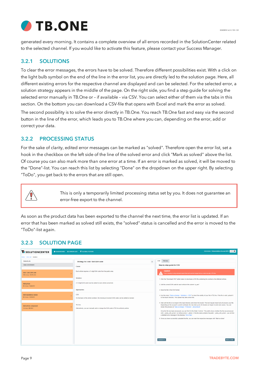

generated every morning. It contains a complete overview of all errors recorded in the SolutionCenter related to the selected channel. If you would like to activate this feature, please contact your Success Manager.

### <span id="page-8-0"></span>**3.2.1 SOLUTIONS**

To clear the error messages, the errors have to be solved. Therefore different possibilities exist. With a click on the light bulb symbol on the end of the line in the error list, you are directly led to the solution page. Here, all different existing errors for the respective channel are displayed and can be selected. For the selected error, a solution strategy appears in the middle of the page. On the right side, you find a step guide for solving the selected error manually in TB.One or – if available – via CSV. You can select either of them via the tabs in this section. On the bottom you can download a CSV-file that opens with Excel and mark the error as solved.

The second possibility is to solve the error directly in TB.One. You reach TB.One fast and easy via the second button in the line of the error, which leads you to TB.One where you can, depending on the error, add or correct your data.

### **3.2.2 PROCESSING STATUS**

For the sake of clarity, edited error messages can be marked as "solved". Therefore open the error list, set a hook in the checkbox on the left side of the line of the solved error and click "Mark as solved" above the list. Of course you can also mark more than one error at a time. If an error is marked as solved, it will be moved to the "Done"-list. You can reach this list by selecting "Done" on the dropdown on the upper right. By selecting "ToDo", you get back to the errors that are still open.



This is only a temporarily limited processing status set by you. It does not guarantee an error-free export to the channel.

As soon as the product data has been exported to the channel the next time, the error list is updated. If an error that has been marked as solved still exists, the "solved"-status is cancelled and the error is moved to the "ToDo"-list again.

### **3.2.3 SOLUTION PAGE**

| Administrator - Dokumentations Account (9951) v2.2.0 0<br><b>T</b> SOLUTIONCENTER<br>C DASHBOARD E ERROR LIST <b>T</b> GLOBAL FILTERS |                                                                                                          |                                                                                                                                                                                                                                                                                                                                                                                                                                                                  |  |  |  |  |  |  |
|---------------------------------------------------------------------------------------------------------------------------------------|----------------------------------------------------------------------------------------------------------|------------------------------------------------------------------------------------------------------------------------------------------------------------------------------------------------------------------------------------------------------------------------------------------------------------------------------------------------------------------------------------------------------------------------------------------------------------------|--|--|--|--|--|--|
| Home / Error List / Solution                                                                                                          |                                                                                                          |                                                                                                                                                                                                                                                                                                                                                                                                                                                                  |  |  |  |  |  |  |
| Zalando.de                                                                                                                            | $\equiv$<br>Strategy for: Add / Edit EAN code                                                            | <b>CSV</b><br>TB.One                                                                                                                                                                                                                                                                                                                                                                                                                                             |  |  |  |  |  |  |
| <b>Data Enrichment</b>                                                                                                                | Cause:                                                                                                   | Step-by-step guide for CSV                                                                                                                                                                                                                                                                                                                                                                                                                                       |  |  |  |  |  |  |
| Add / Edit EAN code<br>139 Articles / 19,703,43 €                                                                                     | Each article requires a 13-digit EAN code from the public area                                           | <b>Caution!</b><br>If your company is using automatic imports these will override changes that you made manually in TB.One.                                                                                                                                                                                                                                                                                                                                      |  |  |  |  |  |  |
|                                                                                                                                       | Solution:                                                                                                | 1. Click the "Download CSV" button below to download a CSV file containing the numbers of all affected articles                                                                                                                                                                                                                                                                                                                                                  |  |  |  |  |  |  |
| <b>Add prices</b><br>65 Articles / 7,222.05 €                                                                                         | A 13-digit EAN code must be added to each article concerned                                              | 2. Add the correct EAN code for each article in the column "a ean".                                                                                                                                                                                                                                                                                                                                                                                              |  |  |  |  |  |  |
|                                                                                                                                       | Approaches:                                                                                              | 3. Save the file in the CSV format.                                                                                                                                                                                                                                                                                                                                                                                                                              |  |  |  |  |  |  |
| Add mandatory values<br>65 Articles / 1,918,59 €                                                                                      | CSV:<br>On the basis of the article numbers, the missing or incorrect EAN codes can be added or revised. | 4. Use the menu "Data exchange > Validators > CSV" to check the validity of your file in TB.One. If the file is valid, upload it<br>to the import directory. This upload may take some time.                                                                                                                                                                                                                                                                     |  |  |  |  |  |  |
| Add article component<br>1 Articles / 299,00 €                                                                                        | TB.One:<br>Alternatively, you can manually add or change the EAN code in TB.One article by article.      | 5. Wait until the file is no longer in the input directory and check the results. The next regular import job will process your file.<br>Depending on the account's current workload, this may take up to 30 minutes (or longer in some rare cases). You can<br>review this process at "Data exchange > Protocols > Job protocol".<br>Once the file has been processed, you can find it in the folder "Archive". The prefix shows whether the file was processed |  |  |  |  |  |  |
|                                                                                                                                       |                                                                                                          | with ("_done_with_errors") or without errors ("_done"). If the file name contains the prefix "_done_with_errors", you will find<br>a detailed error message in the directory "Error files",                                                                                                                                                                                                                                                                      |  |  |  |  |  |  |
|                                                                                                                                       |                                                                                                          | 6. Once you have successfully uploaded the file, you can mark the respective messages with "Mark as done".                                                                                                                                                                                                                                                                                                                                                       |  |  |  |  |  |  |
|                                                                                                                                       |                                                                                                          |                                                                                                                                                                                                                                                                                                                                                                                                                                                                  |  |  |  |  |  |  |
|                                                                                                                                       |                                                                                                          |                                                                                                                                                                                                                                                                                                                                                                                                                                                                  |  |  |  |  |  |  |
|                                                                                                                                       |                                                                                                          |                                                                                                                                                                                                                                                                                                                                                                                                                                                                  |  |  |  |  |  |  |
|                                                                                                                                       |                                                                                                          |                                                                                                                                                                                                                                                                                                                                                                                                                                                                  |  |  |  |  |  |  |
|                                                                                                                                       |                                                                                                          | Download C SV<br><b>MARK AS DONE</b>                                                                                                                                                                                                                                                                                                                                                                                                                             |  |  |  |  |  |  |